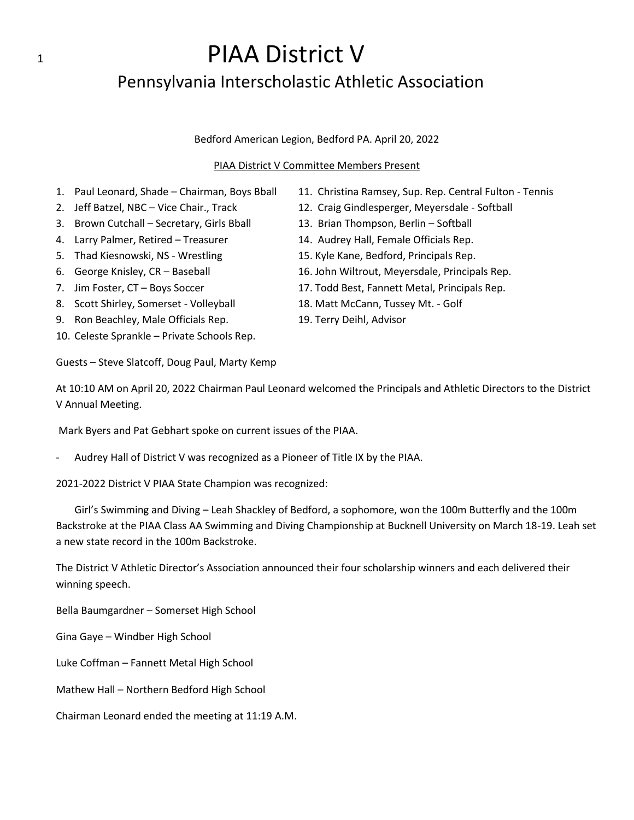## 1 **PIAA District V** Pennsylvania Interscholastic Athletic Association

### Bedford American Legion, Bedford PA. April 20, 2022

### PIAA District V Committee Members Present

- 1. Paul Leonard, Shade Chairman, Boys Bball 11. Christina Ramsey, Sup. Rep. Central Fulton Tennis
- 2. Jeff Batzel, NBC Vice Chair., Track 12. Craig Gindlesperger, Meyersdale Softball
- 3. Brown Cutchall Secretary, Girls Bball 13. Brian Thompson, Berlin Softball
- 
- 
- 
- 
- 8. Scott Shirley, Somerset Volleyball 18. Matt McCann, Tussey Mt. Golf
- 9. Ron Beachley, Male Officials Rep. 19. Terry Deihl, Advisor
- 10. Celeste Sprankle Private Schools Rep.

Guests – Steve Slatcoff, Doug Paul, Marty Kemp

- 
- 
- 4. Larry Palmer, Retired Treasurer 14. Audrey Hall, Female Officials Rep.
- 5. Thad Kiesnowski, NS Wrestling 15. Kyle Kane, Bedford, Principals Rep.
- 6. George Knisley, CR Baseball 16. John Wiltrout, Meyersdale, Principals Rep.
- 7. Jim Foster, CT Boys Soccer 17. Todd Best, Fannett Metal, Principals Rep.
	-
	-

At 10:10 AM on April 20, 2022 Chairman Paul Leonard welcomed the Principals and Athletic Directors to the District V Annual Meeting.

Mark Byers and Pat Gebhart spoke on current issues of the PIAA.

Audrey Hall of District V was recognized as a Pioneer of Title IX by the PIAA.

2021-2022 District V PIAA State Champion was recognized:

Girl's Swimming and Diving – Leah Shackley of Bedford, a sophomore, won the 100m Butterfly and the 100m Backstroke at the PIAA Class AA Swimming and Diving Championship at Bucknell University on March 18-19. Leah set a new state record in the 100m Backstroke.

The District V Athletic Director's Association announced their four scholarship winners and each delivered their winning speech.

Bella Baumgardner – Somerset High School

Gina Gaye – Windber High School

Luke Coffman – Fannett Metal High School

Mathew Hall – Northern Bedford High School

Chairman Leonard ended the meeting at 11:19 A.M.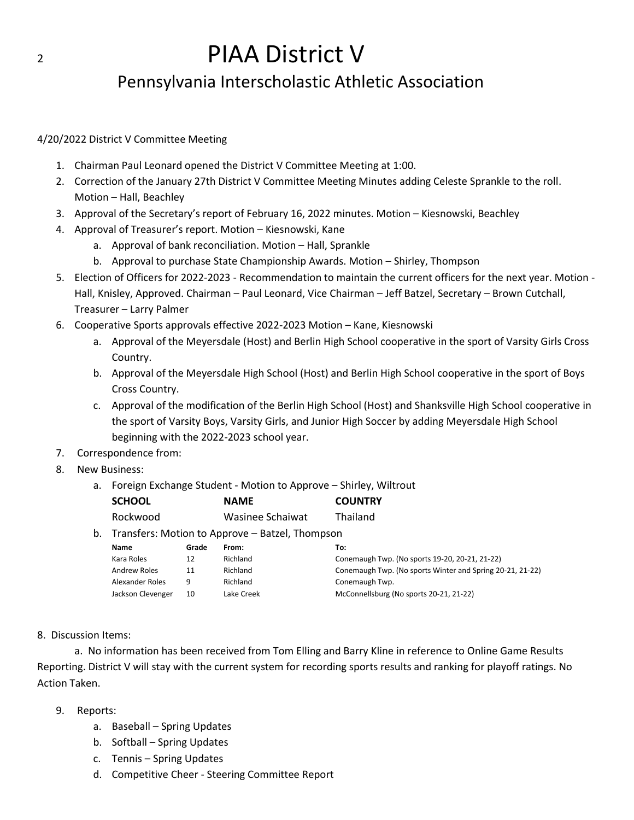# 2 **PIAA District V**

### Pennsylvania Interscholastic Athletic Association

### 4/20/2022 District V Committee Meeting

- 1. Chairman Paul Leonard opened the District V Committee Meeting at 1:00.
- 2. Correction of the January 27th District V Committee Meeting Minutes adding Celeste Sprankle to the roll. Motion – Hall, Beachley
- 3. Approval of the Secretary's report of February 16, 2022 minutes. Motion Kiesnowski, Beachley
- 4. Approval of Treasurer's report. Motion Kiesnowski, Kane
	- a. Approval of bank reconciliation. Motion Hall, Sprankle
	- b. Approval to purchase State Championship Awards. Motion Shirley, Thompson
- 5. Election of Officers for 2022-2023 Recommendation to maintain the current officers for the next year. Motion Hall, Knisley, Approved. Chairman – Paul Leonard, Vice Chairman – Jeff Batzel, Secretary – Brown Cutchall, Treasurer – Larry Palmer
- 6. Cooperative Sports approvals effective 2022-2023 Motion Kane, Kiesnowski
	- a. Approval of the Meyersdale (Host) and Berlin High School cooperative in the sport of Varsity Girls Cross Country.
	- b. Approval of the Meyersdale High School (Host) and Berlin High School cooperative in the sport of Boys Cross Country.
	- c. Approval of the modification of the Berlin High School (Host) and Shanksville High School cooperative in the sport of Varsity Boys, Varsity Girls, and Junior High Soccer by adding Meyersdale High School beginning with the 2022-2023 school year.
- 7. Correspondence from:
- 8. New Business:
	- a. Foreign Exchange Student Motion to Approve Shirley, Wiltrout

|    | <b>SCHOOL</b>                                   |       | <b>NAME</b>      | <b>COUNTRY</b>                                            |
|----|-------------------------------------------------|-------|------------------|-----------------------------------------------------------|
|    | Rockwood                                        |       | Wasinee Schaiwat | Thailand                                                  |
| b. | Transfers: Motion to Approve – Batzel, Thompson |       |                  |                                                           |
|    | <b>Name</b>                                     | Grade | From:            | To:                                                       |
|    | Kara Roles                                      | 12    | Richland         | Conemaugh Twp. (No sports 19-20, 20-21, 21-22)            |
|    | Andrew Roles                                    | 11    | Richland         | Conemaugh Twp. (No sports Winter and Spring 20-21, 21-22) |
|    | Alexander Roles                                 | 9     | Richland         | Conemaugh Twp.                                            |
|    | Jackson Clevenger                               | 10    | Lake Creek       | McConnellsburg (No sports 20-21, 21-22)                   |

### 8. Discussion Items:

a. No information has been received from Tom Elling and Barry Kline in reference to Online Game Results Reporting. District V will stay with the current system for recording sports results and ranking for playoff ratings. No Action Taken.

- 9. Reports:
	- a. Baseball Spring Updates
	- b. Softball Spring Updates
	- c. Tennis Spring Updates
	- d. Competitive Cheer Steering Committee Report